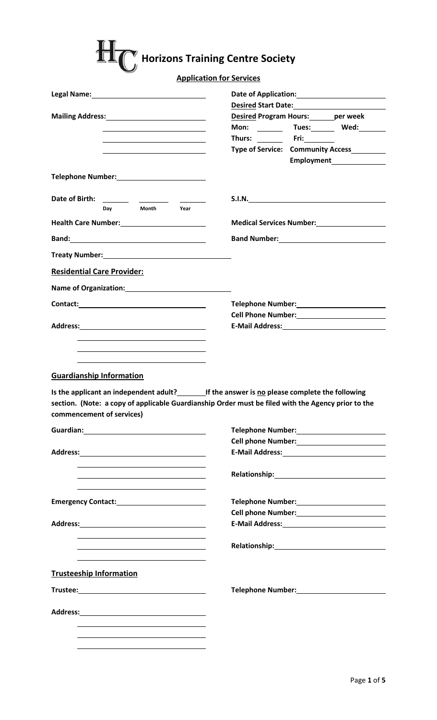|                                                                                                                                                             | <b>Application for Services</b>                                                                    |
|-------------------------------------------------------------------------------------------------------------------------------------------------------------|----------------------------------------------------------------------------------------------------|
|                                                                                                                                                             |                                                                                                    |
|                                                                                                                                                             | Desired Start Date: Management Control of the Desired Start Date:                                  |
| Mailing Address:<br>Mailing Address:                                                                                                                        | <b>Desired Program Hours:</b> _______ per week                                                     |
|                                                                                                                                                             | Mon: _________ Tues:________ Wed:________                                                          |
|                                                                                                                                                             | Thurs: __________ Fri:__________<br>Type of Service: Community Access                              |
|                                                                                                                                                             |                                                                                                    |
| Telephone Number:<br><u> </u>                                                                                                                               |                                                                                                    |
|                                                                                                                                                             | S.I.N.                                                                                             |
| Month<br>Day<br>Year                                                                                                                                        |                                                                                                    |
|                                                                                                                                                             | <b>Medical Services Number:</b> Medical Services Number:                                           |
| Band: <b>Example 2018</b>                                                                                                                                   |                                                                                                    |
|                                                                                                                                                             |                                                                                                    |
| <b>Residential Care Provider:</b>                                                                                                                           |                                                                                                    |
| Name of Organization: Name of Organization:                                                                                                                 |                                                                                                    |
|                                                                                                                                                             | Telephone Number:<br><u> </u>                                                                      |
|                                                                                                                                                             | Cell Phone Number:<br><u> </u>                                                                     |
|                                                                                                                                                             |                                                                                                    |
|                                                                                                                                                             |                                                                                                    |
|                                                                                                                                                             | section. (Note: a copy of applicable Guardianship Order must be filed with the Agency prior to the |
|                                                                                                                                                             |                                                                                                    |
|                                                                                                                                                             |                                                                                                    |
| <b>Guardianship Information</b><br>Is the applicant an independent adult?<br>If the answer is no please complete the following<br>commencement of services) |                                                                                                    |
|                                                                                                                                                             |                                                                                                    |
|                                                                                                                                                             |                                                                                                    |
|                                                                                                                                                             | Telephone Number:<br><u> </u><br>Cell phone Number:<br><u> </u>                                    |
|                                                                                                                                                             |                                                                                                    |
|                                                                                                                                                             |                                                                                                    |
|                                                                                                                                                             |                                                                                                    |
|                                                                                                                                                             | Cell phone Number:<br><u> </u>                                                                     |
| <b>Trusteeship Information</b>                                                                                                                              |                                                                                                    |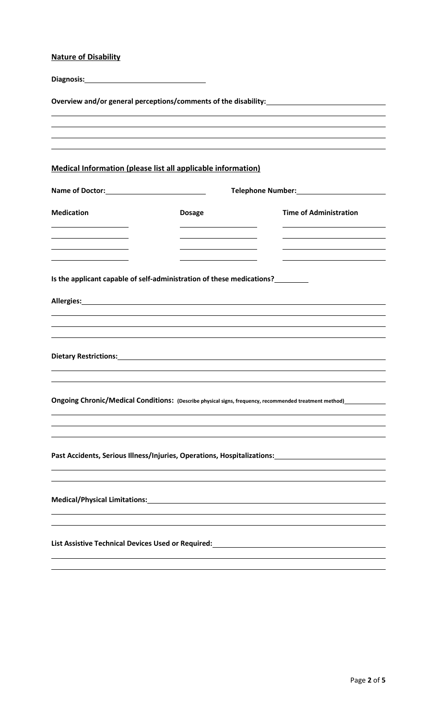## **Nature of Disability**

| Overview and/or general perceptions/comments of the disability:                                                             |                                                                                                                                                                                                                                |                                                                                  |  |  |  |
|-----------------------------------------------------------------------------------------------------------------------------|--------------------------------------------------------------------------------------------------------------------------------------------------------------------------------------------------------------------------------|----------------------------------------------------------------------------------|--|--|--|
|                                                                                                                             |                                                                                                                                                                                                                                | ,我们也不会有什么?""我们的人,我们也不会有什么?""我们的人,我们也不会有什么?""我们的人,我们也不会有什么?""我们的人,我们也不会有什么?""我们的人 |  |  |  |
| <b>Medical Information (please list all applicable information)</b>                                                         |                                                                                                                                                                                                                                |                                                                                  |  |  |  |
|                                                                                                                             |                                                                                                                                                                                                                                |                                                                                  |  |  |  |
| <b>Medication</b>                                                                                                           | <b>Dosage</b>                                                                                                                                                                                                                  | <b>Time of Administration</b>                                                    |  |  |  |
|                                                                                                                             |                                                                                                                                                                                                                                |                                                                                  |  |  |  |
|                                                                                                                             | Is the applicant capable of self-administration of these medications?                                                                                                                                                          |                                                                                  |  |  |  |
|                                                                                                                             |                                                                                                                                                                                                                                |                                                                                  |  |  |  |
|                                                                                                                             |                                                                                                                                                                                                                                |                                                                                  |  |  |  |
|                                                                                                                             | Dietary Restrictions: Note and the second contract of the second contract of the second contract of the second contract of the second contract of the second contract of the second contract of the second contract of the sec |                                                                                  |  |  |  |
|                                                                                                                             |                                                                                                                                                                                                                                |                                                                                  |  |  |  |
| Ongoing Chronic/Medical Conditions: (Describe physical signs, frequency, recommended treatment method)__________            |                                                                                                                                                                                                                                |                                                                                  |  |  |  |
|                                                                                                                             |                                                                                                                                                                                                                                |                                                                                  |  |  |  |
| Past Accidents, Serious Illness/Injuries, Operations, Hospitalizations: ___________________________                         |                                                                                                                                                                                                                                |                                                                                  |  |  |  |
|                                                                                                                             |                                                                                                                                                                                                                                |                                                                                  |  |  |  |
| <b>Medical/Physical Limitations:</b><br><u> 1980 - Johann Barbara, martxa alemaniar arg</u>                                 |                                                                                                                                                                                                                                |                                                                                  |  |  |  |
|                                                                                                                             |                                                                                                                                                                                                                                |                                                                                  |  |  |  |
| List Assistive Technical Devices Used or Required: Manual Assistive Technical Assistive Technical Devices Used or Required: |                                                                                                                                                                                                                                |                                                                                  |  |  |  |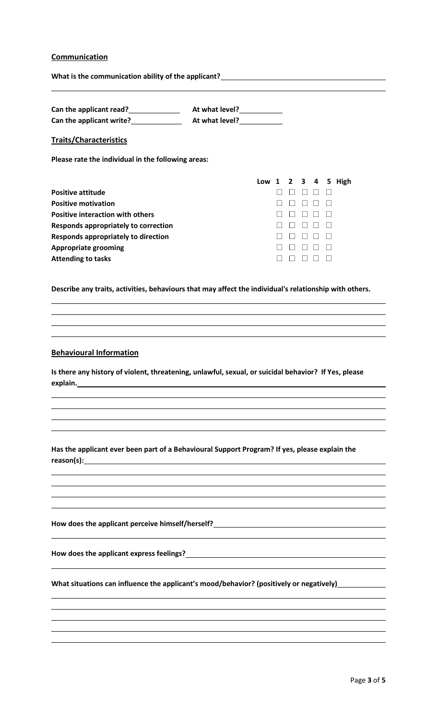## **Communication**

| Can the applicant read?<br><u> Lettican and the set of the set of the set of the set of the set of the set of the set of the set of the set of the set of the set of the set of the set of the set of the set of the set of the se</u> |                                                                                                                                                                                      |
|----------------------------------------------------------------------------------------------------------------------------------------------------------------------------------------------------------------------------------------|--------------------------------------------------------------------------------------------------------------------------------------------------------------------------------------|
|                                                                                                                                                                                                                                        |                                                                                                                                                                                      |
| <b>Traits/Characteristics</b>                                                                                                                                                                                                          |                                                                                                                                                                                      |
| Please rate the individual in the following areas:                                                                                                                                                                                     |                                                                                                                                                                                      |
|                                                                                                                                                                                                                                        | Low 1 2 3 4 5 High                                                                                                                                                                   |
| <b>Positive attitude</b>                                                                                                                                                                                                               | $\Box$                                                                                                                                                                               |
| <b>Positive motivation</b>                                                                                                                                                                                                             | $\Box$ $\Box$                                                                                                                                                                        |
| <b>Positive interaction with others</b>                                                                                                                                                                                                | $\Box$ $\Box$                                                                                                                                                                        |
| <b>Responds appropriately to correction</b>                                                                                                                                                                                            |                                                                                                                                                                                      |
| <b>Responds appropriately to direction</b>                                                                                                                                                                                             | $\Box$ $\Box$ $\Box$                                                                                                                                                                 |
| <b>Appropriate grooming</b>                                                                                                                                                                                                            | <u> Listo de la </u>                                                                                                                                                                 |
| <b>Attending to tasks</b>                                                                                                                                                                                                              | $\begin{array}{c} \begin{array}{c} \text{I} \\ \text{I} \end{array} \end{array} \begin{array}{c} \begin{array}{c} \text{I} \\ \text{I} \end{array} \end{array}$<br>$\Box$<br>$\perp$ |
|                                                                                                                                                                                                                                        | Describe any traits, activities, behaviours that may affect the individual's relationship with others.                                                                               |
|                                                                                                                                                                                                                                        |                                                                                                                                                                                      |
|                                                                                                                                                                                                                                        |                                                                                                                                                                                      |
|                                                                                                                                                                                                                                        |                                                                                                                                                                                      |
|                                                                                                                                                                                                                                        | Is there any history of violent, threatening, unlawful, sexual, or suicidal behavior? If Yes, please                                                                                 |
|                                                                                                                                                                                                                                        |                                                                                                                                                                                      |
|                                                                                                                                                                                                                                        |                                                                                                                                                                                      |
| explain.                                                                                                                                                                                                                               | Has the applicant ever been part of a Behavioural Support Program? If yes, please explain the                                                                                        |
|                                                                                                                                                                                                                                        |                                                                                                                                                                                      |
|                                                                                                                                                                                                                                        | How does the applicant perceive himself/herself?________________________________                                                                                                     |
|                                                                                                                                                                                                                                        | How does the applicant express feelings?<br>Move of the state of the state of the state of the state of the state of the state of the state of the state o                           |
|                                                                                                                                                                                                                                        | What situations can influence the applicant's mood/behavior? (positively or negatively)_____________                                                                                 |
|                                                                                                                                                                                                                                        |                                                                                                                                                                                      |
|                                                                                                                                                                                                                                        |                                                                                                                                                                                      |
|                                                                                                                                                                                                                                        |                                                                                                                                                                                      |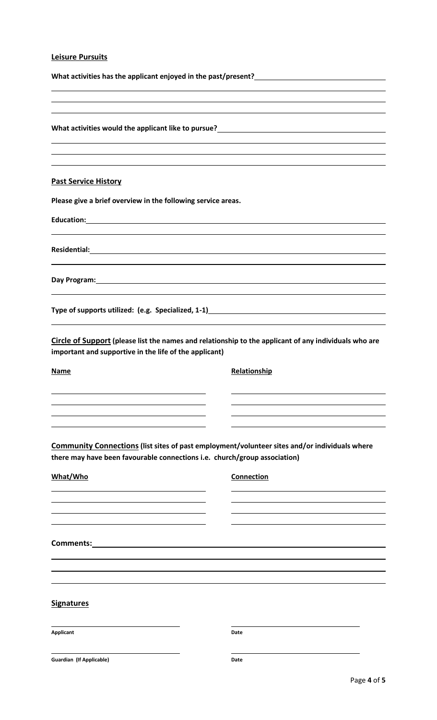## **Leisure Pursuits**

|                                                                           | ,我们也不会有什么。""我们的人,我们也不会有什么?""我们的人,我们也不会有什么?""我们的人,我们也不会有什么?""我们的人,我们也不会有什么?""我们的人<br>,我们也不会有什么。""我们的人,我们也不会有什么?""我们的人,我们也不会有什么?""我们的人,我们也不会有什么?""我们的人,我们也不会有什么?""我们的人 |
|---------------------------------------------------------------------------|----------------------------------------------------------------------------------------------------------------------------------------------------------------------|
|                                                                           |                                                                                                                                                                      |
|                                                                           |                                                                                                                                                                      |
| <b>Past Service History</b>                                               |                                                                                                                                                                      |
| Please give a brief overview in the following service areas.              |                                                                                                                                                                      |
|                                                                           |                                                                                                                                                                      |
|                                                                           |                                                                                                                                                                      |
|                                                                           | Day Program: New York Contract the Contract of the Contract of the Contract of the Contract of the Contract of                                                       |
|                                                                           | ,我们也不会有什么。""我们的人,我们也不会有什么?""我们的人,我们也不会有什么?""我们的人,我们也不会有什么?""我们的人,我们也不会有什么?""我们的人                                                                                     |
| important and supportive in the life of the applicant)                    | Circle of Support (please list the names and relationship to the applicant of any individuals who are                                                                |
| Name                                                                      | Relationship                                                                                                                                                         |
|                                                                           |                                                                                                                                                                      |
|                                                                           |                                                                                                                                                                      |
| there may have been favourable connections i.e. church/group association) | <b>Community Connections (list sites of past employment/volunteer sites and/or individuals where</b>                                                                 |
| What/Who                                                                  | Connection                                                                                                                                                           |
|                                                                           |                                                                                                                                                                      |
|                                                                           |                                                                                                                                                                      |
| <b>Comments: Comments: Comments:</b>                                      |                                                                                                                                                                      |
|                                                                           |                                                                                                                                                                      |
| <b>Signatures</b>                                                         |                                                                                                                                                                      |
| <b>Applicant</b>                                                          | Date                                                                                                                                                                 |
| <b>Guardian (If Applicable)</b>                                           | Date<br>$D \cap \sigma \cap A \cap A \subset \Gamma$                                                                                                                 |